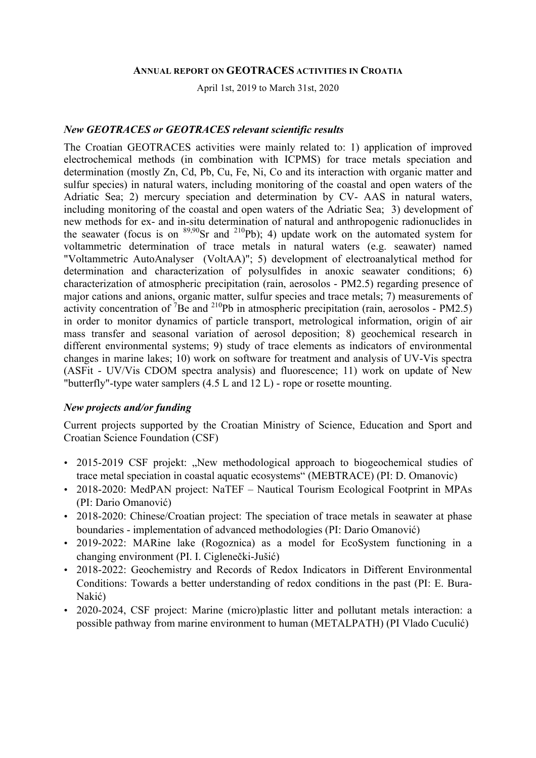#### **ANNUAL REPORT ON GEOTRACES ACTIVITIES IN CROATIA**

April 1st, 2019 to March 31st, 2020

#### *New GEOTRACES or GEOTRACES relevant scientific results*

The Croatian GEOTRACES activities were mainly related to: 1) application of improved electrochemical methods (in combination with ICPMS) for trace metals speciation and determination (mostly Zn, Cd, Pb, Cu, Fe, Ni, Co and its interaction with organic matter and sulfur species) in natural waters, including monitoring of the coastal and open waters of the Adriatic Sea; 2) mercury speciation and determination by CV- AAS in natural waters, including monitoring of the coastal and open waters of the Adriatic Sea; 3) development of new methods for ex- and in-situ determination of natural and anthropogenic radionuclides in the seawater (focus is on  $89,90$ Sr and  $210$ Pb); 4) update work on the automated system for voltammetric determination of trace metals in natural waters (e.g. seawater) named "Voltammetric AutoAnalyser (VoltAA)"; 5) development of electroanalytical method for determination and characterization of polysulfides in anoxic seawater conditions; 6) characterization of atmospheric precipitation (rain, aerosolos - PM2.5) regarding presence of major cations and anions, organic matter, sulfur species and trace metals; 7) measurements of activity concentration of <sup>7</sup>Be and <sup>210</sup>Pb in atmospheric precipitation (rain, aerosolos - PM2.5) in order to monitor dynamics of particle transport, metrological information, origin of air mass transfer and seasonal variation of aerosol deposition; 8) geochemical research in different environmental systems; 9) study of trace elements as indicators of environmental changes in marine lakes; 10) work on software for treatment and analysis of UV-Vis spectra (ASFit - UV/Vis CDOM spectra analysis) and fluorescence; 11) work on update of New "butterfly"-type water samplers (4.5 L and 12 L) - rope or rosette mounting.

#### *New projects and/or funding*

Current projects supported by the Croatian Ministry of Science, Education and Sport and Croatian Science Foundation (CSF)

- 2015-2019 CSF projekt: "New methodological approach to biogeochemical studies of trace metal speciation in coastal aquatic ecosystems" (MEBTRACE) (PI: D. Omanovic)
- 2018-2020: MedPAN project: NaTEF Nautical Tourism Ecological Footprint in MPAs (PI: Dario Omanović)
- 2018-2020: Chinese/Croatian project: The speciation of trace metals in seawater at phase boundaries - implementation of advanced methodologies (PI: Dario Omanović)
- 2019-2022: MARine lake (Rogoznica) as a model for EcoSystem functioning in a changing environment (PI. I. Ciglenečki-Jušić)
- 2018-2022: Geochemistry and Records of Redox Indicators in Different Environmental Conditions: Towards a better understanding of redox conditions in the past (PI: E. Bura-Nakić)
- 2020-2024, CSF project: Marine (micro)plastic litter and pollutant metals interaction: a possible pathway from marine environment to human (METALPATH) (PI Vlado Cuculić)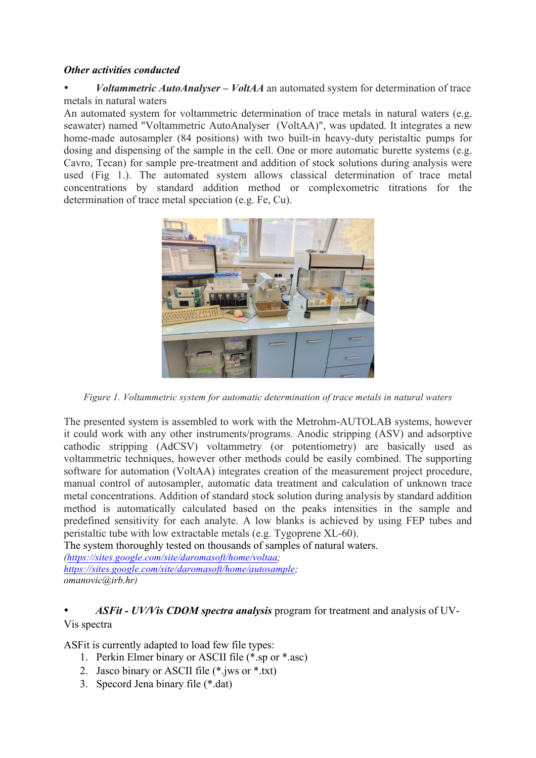#### *Other activities conducted*

• *Voltammetric AutoAnalyser – VoltAA* an automated system for determination of trace metals in natural waters

An automated system for voltammetric determination of trace metals in natural waters (e.g. seawater) named "Voltammetric AutoAnalyser (VoltAA)", was updated. It integrates a new home-made autosampler (84 positions) with two built-in heavy-duty peristaltic pumps for dosing and dispensing of the sample in the cell. One or more automatic burette systems (e.g. Cavro, Tecan) for sample pre-treatment and addition of stock solutions during analysis were used (Fig 1.). The automated system allows classical determination of trace metal concentrations by standard addition method or complexometric titrations for the determination of trace metal speciation (e.g. Fe, Cu).



*Figure 1. Voltammetric system for automatic determination of trace metals in natural waters*

The presented system is assembled to work with the Metrohm-AUTOLAB systems, however it could work with any other instruments/programs. Anodic stripping (ASV) and adsorptive cathodic stripping (AdCSV) voltammetry (or potentiometry) are basically used as voltammetric techniques, however other methods could be easily combined. The supporting software for automation (VoltAA) integrates creation of the measurement project procedure, manual control of autosampler, automatic data treatment and calculation of unknown trace metal concentrations. Addition of standard stock solution during analysis by standard addition method is automatically calculated based on the peaks intensities in the sample and predefined sensitivity for each analyte. A low blanks is achieved by using FEP tubes and peristaltic tube with low extractable metals (e.g. Tygoprene XL-60).

The system thoroughly tested on thousands of samples of natural waters.

*(https://sites.google.com/site/daromasoft/home/voltaa; https://sites.google.com/site/daromasoft/home/autosample; omanovic@irb.hr)*

### • *ASFit - UV/Vis CDOM spectra analysis* program for treatment and analysis of UV-Vis spectra

ASFit is currently adapted to load few file types:

- 1. Perkin Elmer binary or ASCII file (\*.sp or \*.asc)
- 2. Jasco binary or ASCII file (\*.jws or \*.txt)
- 3. Specord Jena binary file (\*.dat)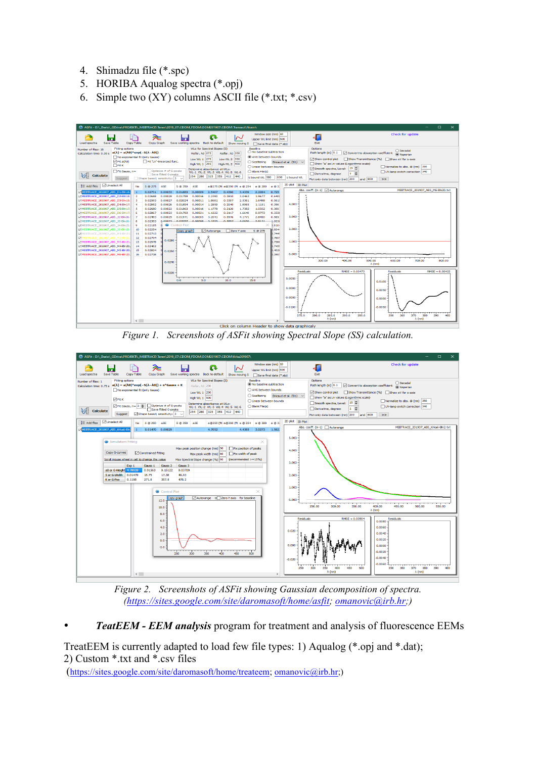- 4. Shimadzu file (\*.spc)
- 5. HORIBA Aqualog spectra (\*.opj)
- 6. Simple two  $(XY)$  columns ASCII file  $(*.txt;*.csv)$



*Figure 1. Screenshots of ASFit showing Spectral Slope (SS) calculation.*



*Figure 2. Screenshots of ASFit showing Gaussian decomposition of spectra. (https://sites.google.com/site/daromasoft/home/asfit; omanovic@irb.hr;)*

• *TeatEEM - EEM analysis* program for treatment and analysis of fluorescence EEMs

TreatEEM is currently adapted to load few file types: 1) Aqualog (\*.opj and \*.dat); 2) Custom \*.txt and \*.csv files

(https://sites.google.com/site/daromasoft/home/treateem; omanovic@irb.hr;)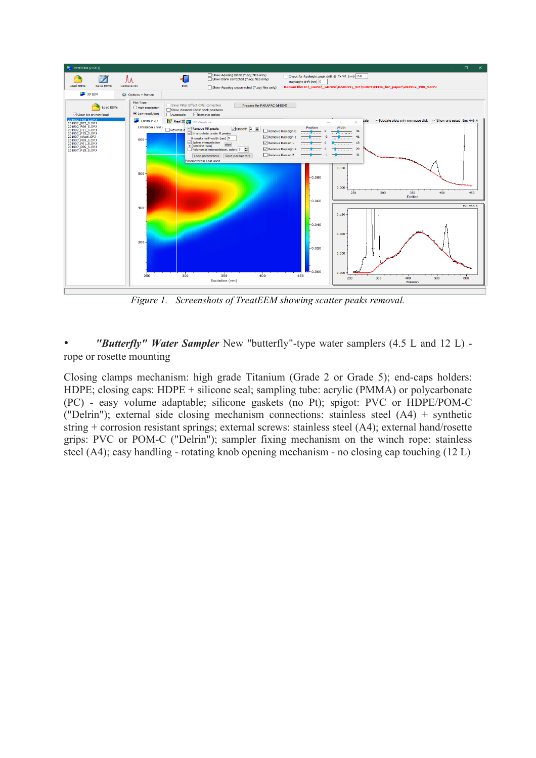

*Figure 1. Screenshots of TreatEEM showing scatter peaks removal.*

• *"Butterfly" Water Sampler* New "butterfly"-type water samplers (4.5 L and 12 L) rope or rosette mounting

Closing clamps mechanism: high grade Titanium (Grade 2 or Grade 5); end-caps holders: HDPE; closing caps: HDPE + silicone seal; sampling tube: acrylic (PMMA) or polycarbonate (PC) - easy volume adaptable; silicone gaskets (no Pt); spigot: PVC or HDPE/POM-C ("Delrin"); external side closing mechanism connections: stainless steel (A4) + synthetic string + corrosion resistant springs; external screws: stainless steel (A4); external hand/rosette grips: PVC or POM-C ("Delrin"); sampler fixing mechanism on the winch rope: stainless steel (A4); easy handling - rotating knob opening mechanism - no closing cap touching (12 L)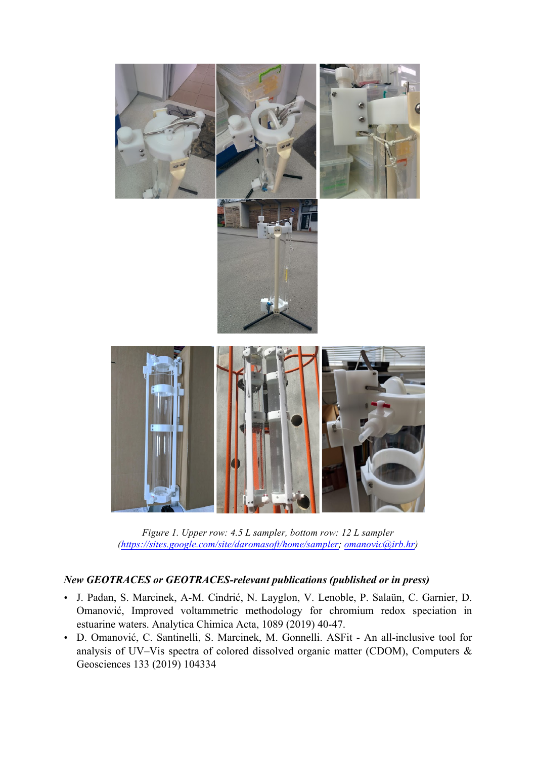

*Figure 1. Upper row: 4.5 L sampler, bottom row: 12 L sampler (https://sites.google.com/site/daromasoft/home/sampler; omanovic@irb.hr)*

# *New GEOTRACES or GEOTRACES-relevant publications (published or in press)*

- J. Pađan, S. Marcinek, A-M. Cindrić, N. Layglon, V. Lenoble, P. Salaün, C. Garnier, D. Omanović, Improved voltammetric methodology for chromium redox speciation in estuarine waters. Analytica Chimica Acta, 1089 (2019) 40-47.
- D. Omanović, C. Santinelli, S. Marcinek, M. Gonnelli. ASFit An all-inclusive tool for analysis of UV–Vis spectra of colored dissolved organic matter (CDOM), Computers & Geosciences 133 (2019) 104334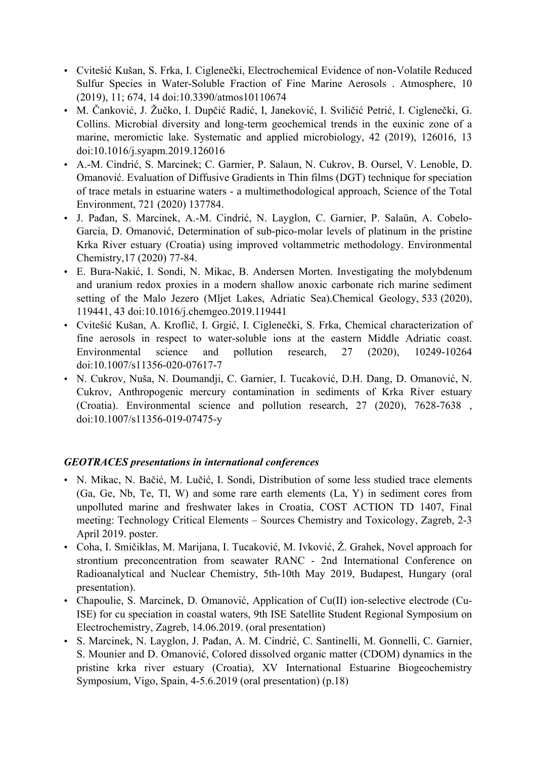- Cvitešić Kušan, S. Frka, I. Ciglenečki, Electrochemical Evidence of non-Volatile Reduced Sulfur Species in Water-Soluble Fraction of Fine Marine Aerosols . Atmosphere, 10 (2019), 11; 674, 14 doi:10.3390/atmos10110674
- M. Čanković, J. Žučko, I. Dupčić Radić, I, Janeković, I. Sviličić Petrić, I. Ciglenečki, G. Collins. Microbial diversity and long-term geochemical trends in the euxinic zone of a marine, meromictic lake. Systematic and applied microbiology, 42 (2019), 126016, 13 doi:10.1016/j.syapm.2019.126016
- A.-M. Cindrić, S. Marcinek; C. Garnier, P. Salaun, N. Cukrov, B. Oursel, V. Lenoble, D. Omanović. Evaluation of Diffusive Gradients in Thin films (DGT) technique for speciation of trace metals in estuarine waters - a multimethodological approach, Science of the Total Environment, 721 (2020) 137784.
- J. Pađan, S. Marcinek, A.-M. Cindrić, N. Layglon, C. Garnier, P. Salaün, A. Cobelo-García, D. Omanović, Determination of sub-pico-molar levels of platinum in the pristine Krka River estuary (Croatia) using improved voltammetric methodology. Environmental Chemistry,17 (2020) 77-84.
- E. Bura-Nakić, I. Sondi, N. Mikac, B. Andersen Morten. Investigating the molybdenum and uranium redox proxies in a modern shallow anoxic carbonate rich marine sediment setting of the Malo Jezero (Mljet Lakes, Adriatic Sea).Chemical Geology, 533 (2020), 119441, 43 doi:10.1016/j.chemgeo.2019.119441
- Cvitešić Kušan, A. Kroflič, I. Grgić, I. Ciglenečki, S. Frka, Chemical characterization of fine aerosols in respect to water-soluble ions at the eastern Middle Adriatic coast. Environmental science and pollution research, 27 (2020), 10249-10264 doi:10.1007/s11356-020-07617-7
- N. Cukrov, Nuša, N. Doumandji, C. Garnier, I. Tucaković, D.H. Dang, D. Omanović, N. Cukrov, Anthropogenic mercury contamination in sediments of Krka River estuary (Croatia). Environmental science and pollution research, 27 (2020), 7628-7638 , doi:10.1007/s11356-019-07475-y

## *GEOTRACES presentations in international conferences*

- N. Mikac, N. Bačić, M. Lučić, I. Sondi, Distribution of some less studied trace elements (Ga, Ge, Nb, Te, Tl, W) and some rare earth elements (La, Y) in sediment cores from unpolluted marine and freshwater lakes in Croatia, COST ACTION TD 1407, Final meeting: Technology Critical Elements – Sources Chemistry and Toxicology, Zagreb, 2-3 April 2019. poster.
- Coha, I. Smičiklas, M. Marijana, I. Tucaković, M. Ivković, Ž. Grahek, Novel approach for strontium preconcentration from seawater RANC - 2nd International Conference on Radioanalytical and Nuclear Chemistry, 5th-10th May 2019, Budapest, Hungary (oral presentation).
- Chapoulie, S. Marcinek, D. Omanović, Application of Cu(II) ion-selective electrode (Cu-ISE) for cu speciation in coastal waters, 9th ISE Satellite Student Regional Symposium on Electrochemistry, Zagreb, 14.06.2019. (oral presentation)
- S. Marcinek, N. Layglon, J. Pađan, A. M. Cindrić, C. Santinelli, M. Gonnelli, C. Garnier, S. Mounier and D. Omanović, Colored dissolved organic matter (CDOM) dynamics in the pristine krka river estuary (Croatia), XV International Estuarine Biogeochemistry Symposium, Vigo, Spain, 4-5.6.2019 (oral presentation) (p.18)